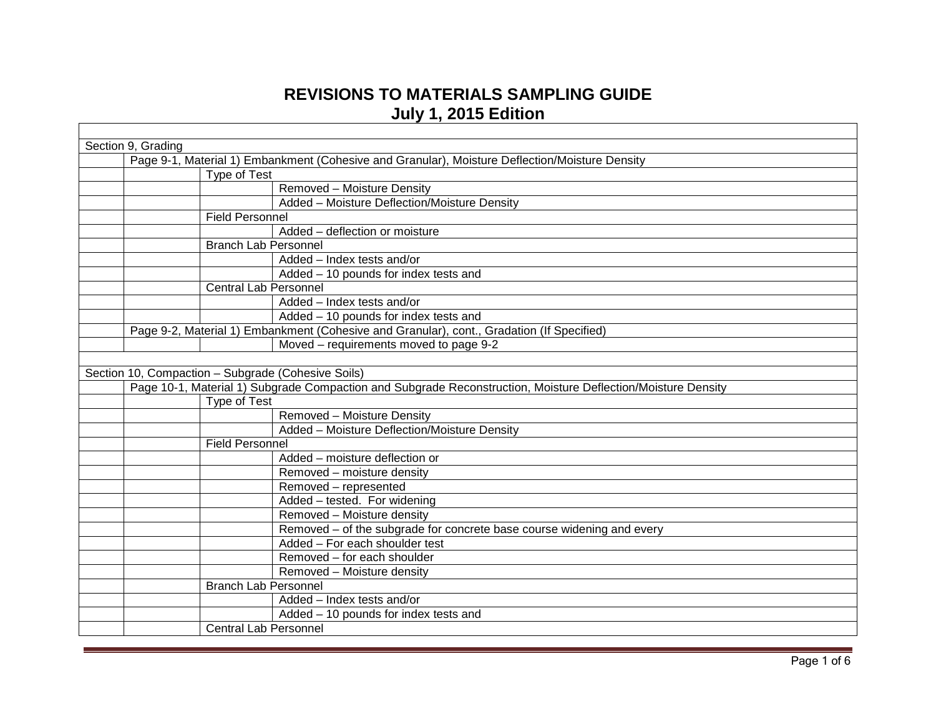## **REVISIONS TO MATERIALS SAMPLING GUIDE July 1, 2015 Edition**

| Section 9, Grading                                                                             |                                                                                                              |  |
|------------------------------------------------------------------------------------------------|--------------------------------------------------------------------------------------------------------------|--|
| Page 9-1, Material 1) Embankment (Cohesive and Granular), Moisture Deflection/Moisture Density |                                                                                                              |  |
| Type of Test                                                                                   |                                                                                                              |  |
|                                                                                                | <b>Removed - Moisture Density</b>                                                                            |  |
|                                                                                                | Added - Moisture Deflection/Moisture Density                                                                 |  |
| <b>Field Personnel</b>                                                                         |                                                                                                              |  |
|                                                                                                | Added - deflection or moisture                                                                               |  |
| <b>Branch Lab Personnel</b>                                                                    |                                                                                                              |  |
|                                                                                                | Added - Index tests and/or                                                                                   |  |
|                                                                                                | Added - 10 pounds for index tests and                                                                        |  |
| <b>Central Lab Personnel</b>                                                                   |                                                                                                              |  |
|                                                                                                | Added - Index tests and/or                                                                                   |  |
|                                                                                                | Added - 10 pounds for index tests and                                                                        |  |
|                                                                                                | Page 9-2, Material 1) Embankment (Cohesive and Granular), cont., Gradation (If Specified)                    |  |
|                                                                                                | Moved – requirements moved to page 9-2                                                                       |  |
|                                                                                                |                                                                                                              |  |
| Section 10, Compaction - Subgrade (Cohesive Soils)                                             |                                                                                                              |  |
|                                                                                                | Page 10-1, Material 1) Subgrade Compaction and Subgrade Reconstruction, Moisture Deflection/Moisture Density |  |
| Type of Test                                                                                   |                                                                                                              |  |
|                                                                                                | Removed - Moisture Density                                                                                   |  |
|                                                                                                | Added - Moisture Deflection/Moisture Density                                                                 |  |
| <b>Field Personnel</b>                                                                         |                                                                                                              |  |
|                                                                                                | Added - moisture deflection or                                                                               |  |
|                                                                                                | Removed - moisture density                                                                                   |  |
|                                                                                                | Removed - represented                                                                                        |  |
|                                                                                                | Added - tested. For widening                                                                                 |  |
|                                                                                                | Removed - Moisture density                                                                                   |  |
|                                                                                                | Removed - of the subgrade for concrete base course widening and every                                        |  |
|                                                                                                | Added - For each shoulder test                                                                               |  |
|                                                                                                | Removed - for each shoulder                                                                                  |  |
|                                                                                                | Removed - Moisture density                                                                                   |  |
| <b>Branch Lab Personnel</b>                                                                    |                                                                                                              |  |
|                                                                                                | Added - Index tests and/or                                                                                   |  |
|                                                                                                | Added - 10 pounds for index tests and                                                                        |  |
| <b>Central Lab Personnel</b>                                                                   |                                                                                                              |  |
|                                                                                                |                                                                                                              |  |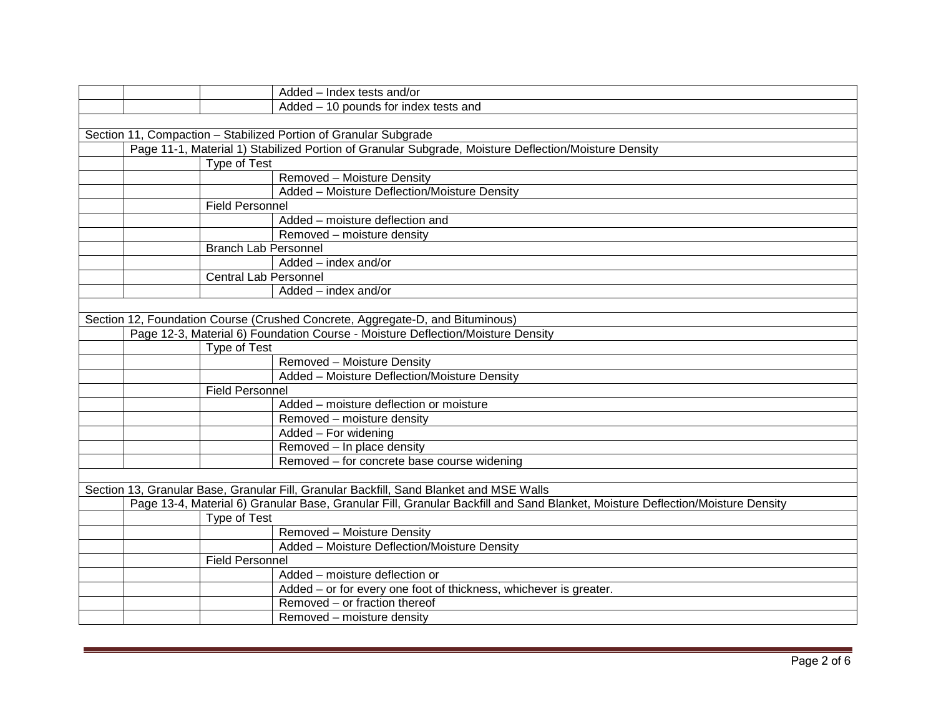|                                                                               |                              | Added - Index tests and/or                                                                                                    |  |
|-------------------------------------------------------------------------------|------------------------------|-------------------------------------------------------------------------------------------------------------------------------|--|
|                                                                               |                              | Added - 10 pounds for index tests and                                                                                         |  |
|                                                                               |                              |                                                                                                                               |  |
|                                                                               |                              | Section 11, Compaction - Stabilized Portion of Granular Subgrade                                                              |  |
|                                                                               |                              | Page 11-1, Material 1) Stabilized Portion of Granular Subgrade, Moisture Deflection/Moisture Density                          |  |
|                                                                               | Type of Test                 |                                                                                                                               |  |
|                                                                               |                              | Removed - Moisture Density                                                                                                    |  |
|                                                                               |                              | Added - Moisture Deflection/Moisture Density                                                                                  |  |
|                                                                               | <b>Field Personnel</b>       |                                                                                                                               |  |
|                                                                               |                              | Added - moisture deflection and                                                                                               |  |
|                                                                               |                              | Removed - moisture density                                                                                                    |  |
|                                                                               | <b>Branch Lab Personnel</b>  |                                                                                                                               |  |
|                                                                               |                              | Added - index and/or                                                                                                          |  |
|                                                                               | <b>Central Lab Personnel</b> |                                                                                                                               |  |
|                                                                               |                              | Added - index and/or                                                                                                          |  |
|                                                                               |                              |                                                                                                                               |  |
| Section 12, Foundation Course (Crushed Concrete, Aggregate-D, and Bituminous) |                              |                                                                                                                               |  |
|                                                                               |                              | Page 12-3, Material 6) Foundation Course - Moisture Deflection/Moisture Density                                               |  |
|                                                                               | Type of Test                 |                                                                                                                               |  |
|                                                                               |                              | Removed - Moisture Density                                                                                                    |  |
|                                                                               |                              | Added - Moisture Deflection/Moisture Density                                                                                  |  |
|                                                                               | <b>Field Personnel</b>       |                                                                                                                               |  |
|                                                                               |                              | Added - moisture deflection or moisture                                                                                       |  |
|                                                                               |                              | Removed - moisture density                                                                                                    |  |
|                                                                               |                              | Added - For widening                                                                                                          |  |
|                                                                               |                              | Removed - In place density                                                                                                    |  |
|                                                                               |                              | Removed - for concrete base course widening                                                                                   |  |
|                                                                               |                              |                                                                                                                               |  |
|                                                                               |                              | Section 13, Granular Base, Granular Fill, Granular Backfill, Sand Blanket and MSE Walls                                       |  |
|                                                                               |                              | Page 13-4, Material 6) Granular Base, Granular Fill, Granular Backfill and Sand Blanket, Moisture Deflection/Moisture Density |  |
|                                                                               | Type of Test                 |                                                                                                                               |  |
|                                                                               |                              | Removed - Moisture Density                                                                                                    |  |
|                                                                               |                              | Added - Moisture Deflection/Moisture Density                                                                                  |  |
|                                                                               | <b>Field Personnel</b>       |                                                                                                                               |  |
|                                                                               |                              | Added - moisture deflection or                                                                                                |  |
|                                                                               |                              | Added - or for every one foot of thickness, whichever is greater.                                                             |  |
|                                                                               |                              | Removed – or fraction thereof                                                                                                 |  |
|                                                                               |                              | Removed - moisture density                                                                                                    |  |
|                                                                               |                              |                                                                                                                               |  |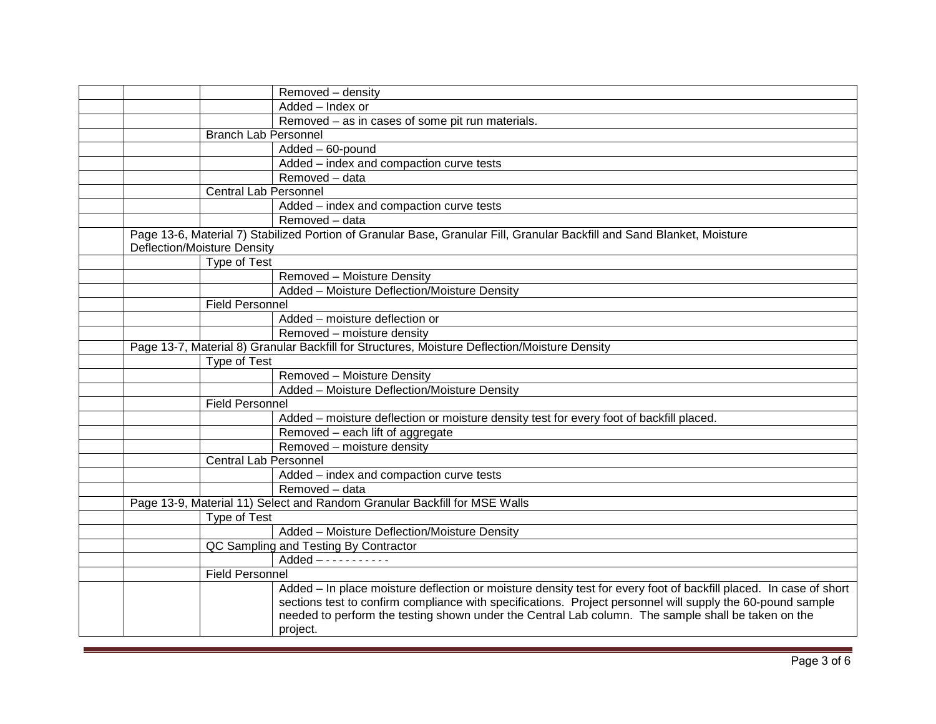|                              | Removed - density                                                                                                                                                                                                                                                                                                                                 |
|------------------------------|---------------------------------------------------------------------------------------------------------------------------------------------------------------------------------------------------------------------------------------------------------------------------------------------------------------------------------------------------|
|                              | Added - Index or                                                                                                                                                                                                                                                                                                                                  |
|                              | Removed – as in cases of some pit run materials.                                                                                                                                                                                                                                                                                                  |
| <b>Branch Lab Personnel</b>  |                                                                                                                                                                                                                                                                                                                                                   |
|                              | Added - 60-pound                                                                                                                                                                                                                                                                                                                                  |
|                              | Added - index and compaction curve tests                                                                                                                                                                                                                                                                                                          |
|                              | Removed - data                                                                                                                                                                                                                                                                                                                                    |
| <b>Central Lab Personnel</b> |                                                                                                                                                                                                                                                                                                                                                   |
|                              | Added - index and compaction curve tests                                                                                                                                                                                                                                                                                                          |
|                              | Removed - data                                                                                                                                                                                                                                                                                                                                    |
| Deflection/Moisture Density  | Page 13-6, Material 7) Stabilized Portion of Granular Base, Granular Fill, Granular Backfill and Sand Blanket, Moisture                                                                                                                                                                                                                           |
| Type of Test                 |                                                                                                                                                                                                                                                                                                                                                   |
|                              | Removed - Moisture Density                                                                                                                                                                                                                                                                                                                        |
|                              | Added - Moisture Deflection/Moisture Density                                                                                                                                                                                                                                                                                                      |
| <b>Field Personnel</b>       |                                                                                                                                                                                                                                                                                                                                                   |
|                              | Added – moisture deflection or                                                                                                                                                                                                                                                                                                                    |
|                              | Removed - moisture density                                                                                                                                                                                                                                                                                                                        |
|                              | Page 13-7, Material 8) Granular Backfill for Structures, Moisture Deflection/Moisture Density                                                                                                                                                                                                                                                     |
| Type of Test                 |                                                                                                                                                                                                                                                                                                                                                   |
|                              | Removed - Moisture Density                                                                                                                                                                                                                                                                                                                        |
|                              | Added - Moisture Deflection/Moisture Density                                                                                                                                                                                                                                                                                                      |
| <b>Field Personnel</b>       |                                                                                                                                                                                                                                                                                                                                                   |
|                              | Added - moisture deflection or moisture density test for every foot of backfill placed.                                                                                                                                                                                                                                                           |
|                              | Removed - each lift of aggregate                                                                                                                                                                                                                                                                                                                  |
|                              | Removed - moisture density                                                                                                                                                                                                                                                                                                                        |
| <b>Central Lab Personnel</b> |                                                                                                                                                                                                                                                                                                                                                   |
|                              | Added - index and compaction curve tests                                                                                                                                                                                                                                                                                                          |
|                              | Removed - data                                                                                                                                                                                                                                                                                                                                    |
|                              | Page 13-9, Material 11) Select and Random Granular Backfill for MSE Walls                                                                                                                                                                                                                                                                         |
| Type of Test                 |                                                                                                                                                                                                                                                                                                                                                   |
|                              | Added - Moisture Deflection/Moisture Density                                                                                                                                                                                                                                                                                                      |
|                              | QC Sampling and Testing By Contractor                                                                                                                                                                                                                                                                                                             |
|                              | $Added$ - - - - - - - - - - -                                                                                                                                                                                                                                                                                                                     |
| <b>Field Personnel</b>       |                                                                                                                                                                                                                                                                                                                                                   |
|                              | Added - In place moisture deflection or moisture density test for every foot of backfill placed. In case of short<br>sections test to confirm compliance with specifications. Project personnel will supply the 60-pound sample<br>needed to perform the testing shown under the Central Lab column. The sample shall be taken on the<br>project. |
|                              |                                                                                                                                                                                                                                                                                                                                                   |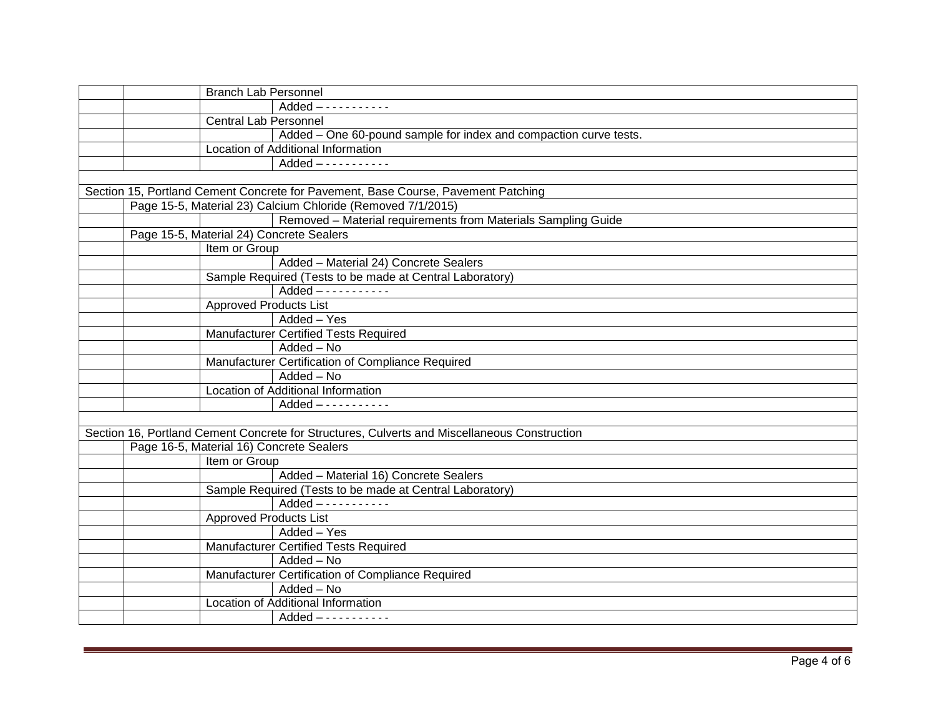| <b>Branch Lab Personnel</b>                                                                  |  |
|----------------------------------------------------------------------------------------------|--|
| $Added$ - - - - - - - - - - -                                                                |  |
| <b>Central Lab Personnel</b>                                                                 |  |
| Added - One 60-pound sample for index and compaction curve tests.                            |  |
| Location of Additional Information                                                           |  |
| $Added$ - - - - - - - - - - -                                                                |  |
|                                                                                              |  |
| Section 15, Portland Cement Concrete for Pavement, Base Course, Pavement Patching            |  |
| Page 15-5, Material 23) Calcium Chloride (Removed 7/1/2015)                                  |  |
| Removed - Material requirements from Materials Sampling Guide                                |  |
| Page 15-5, Material 24) Concrete Sealers                                                     |  |
| Item or Group                                                                                |  |
| Added - Material 24) Concrete Sealers                                                        |  |
| Sample Required (Tests to be made at Central Laboratory)                                     |  |
| $Added$ - - - - - - - - - - -                                                                |  |
| <b>Approved Products List</b>                                                                |  |
| Added - Yes                                                                                  |  |
| <b>Manufacturer Certified Tests Required</b>                                                 |  |
| Added - No                                                                                   |  |
| Manufacturer Certification of Compliance Required                                            |  |
| Added - No                                                                                   |  |
| Location of Additional Information                                                           |  |
|                                                                                              |  |
|                                                                                              |  |
| Section 16, Portland Cement Concrete for Structures, Culverts and Miscellaneous Construction |  |
| Page 16-5, Material 16) Concrete Sealers                                                     |  |
| Item or Group                                                                                |  |
| Added - Material 16) Concrete Sealers                                                        |  |
| Sample Required (Tests to be made at Central Laboratory)                                     |  |
|                                                                                              |  |
| <b>Approved Products List</b>                                                                |  |
| Added - Yes                                                                                  |  |
| <b>Manufacturer Certified Tests Required</b>                                                 |  |
| Added - No                                                                                   |  |
| Manufacturer Certification of Compliance Required                                            |  |
| Added - No                                                                                   |  |
| Location of Additional Information                                                           |  |
| $Added$ - - - - - - - - - - -                                                                |  |
|                                                                                              |  |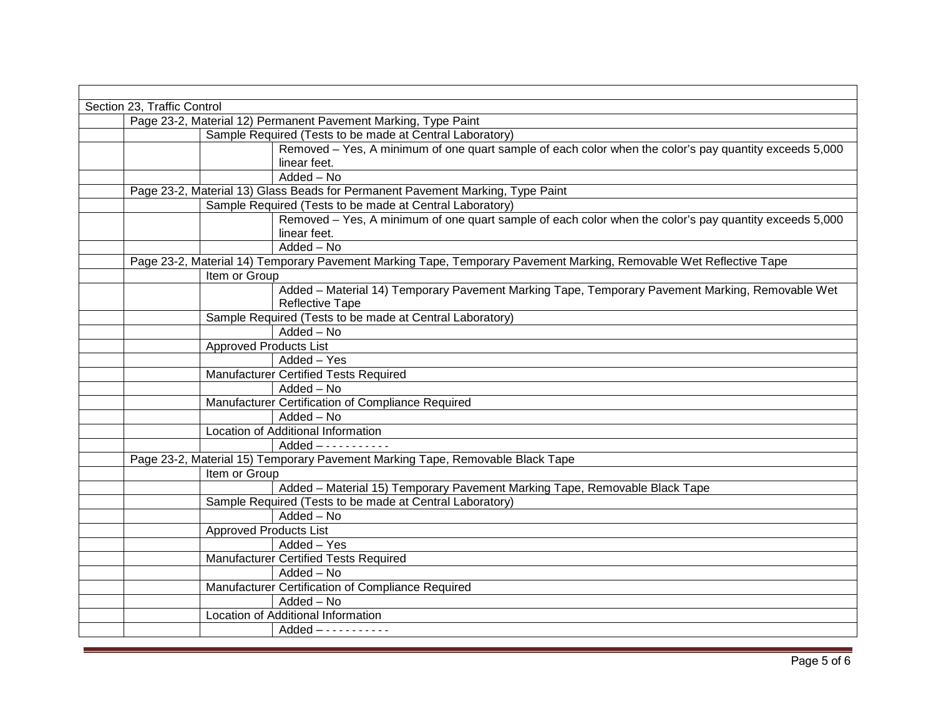| Section 23, Traffic Control                                                                                        |  |  |
|--------------------------------------------------------------------------------------------------------------------|--|--|
| Page 23-2, Material 12) Permanent Pavement Marking, Type Paint                                                     |  |  |
| Sample Required (Tests to be made at Central Laboratory)                                                           |  |  |
| Removed – Yes, A minimum of one quart sample of each color when the color's pay quantity exceeds 5,000             |  |  |
| linear feet.                                                                                                       |  |  |
| $\overline{\mathsf{Added}} - \mathsf{No}$                                                                          |  |  |
| Page 23-2, Material 13) Glass Beads for Permanent Pavement Marking, Type Paint                                     |  |  |
| Sample Required (Tests to be made at Central Laboratory)                                                           |  |  |
| Removed – Yes, A minimum of one quart sample of each color when the color's pay quantity exceeds 5,000             |  |  |
| linear feet.                                                                                                       |  |  |
| Added - No                                                                                                         |  |  |
| Page 23-2, Material 14) Temporary Pavement Marking Tape, Temporary Pavement Marking, Removable Wet Reflective Tape |  |  |
| Item or Group                                                                                                      |  |  |
| Added - Material 14) Temporary Pavement Marking Tape, Temporary Pavement Marking, Removable Wet                    |  |  |
| <b>Reflective Tape</b>                                                                                             |  |  |
| Sample Required (Tests to be made at Central Laboratory)                                                           |  |  |
| Added - No                                                                                                         |  |  |
| <b>Approved Products List</b>                                                                                      |  |  |
| Added - Yes                                                                                                        |  |  |
| <b>Manufacturer Certified Tests Required</b>                                                                       |  |  |
| Added - No                                                                                                         |  |  |
| Manufacturer Certification of Compliance Required                                                                  |  |  |
| Added - No                                                                                                         |  |  |
| Location of Additional Information                                                                                 |  |  |
| $Added$ - - - - - - - - - - -                                                                                      |  |  |
| Page 23-2, Material 15) Temporary Pavement Marking Tape, Removable Black Tape                                      |  |  |
| Item or Group                                                                                                      |  |  |
| Added - Material 15) Temporary Pavement Marking Tape, Removable Black Tape                                         |  |  |
| Sample Required (Tests to be made at Central Laboratory)                                                           |  |  |
| Added - No                                                                                                         |  |  |
| <b>Approved Products List</b>                                                                                      |  |  |
| Added - Yes                                                                                                        |  |  |
| <b>Manufacturer Certified Tests Required</b>                                                                       |  |  |
| Added - No                                                                                                         |  |  |
| Manufacturer Certification of Compliance Required                                                                  |  |  |
| Added - No                                                                                                         |  |  |
| Location of Additional Information                                                                                 |  |  |
| $Added$ - - - - - - - - - - -                                                                                      |  |  |
|                                                                                                                    |  |  |